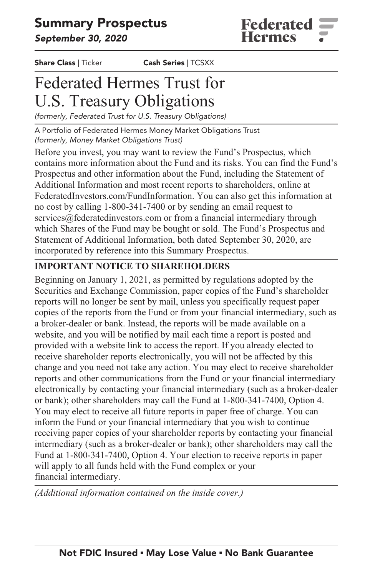# **Summary Prospectus**

**September 30, 2020**

**Share Class | Ticker Cash Series | TCSXX**

# **Federated Hermes Trust for U.S. Treasury Obligations**

**(formerly, Federated Trust for U.S. Treasury Obligations)**

**A Portfolio of Federated Hermes Money Market Obligations Trust (formerly, Money Market Obligations Trust)**

**Before you invest, you may want to review the Fund's Prospectus, which contains more information about the Fund and its risks. You can find the Fund's Prospectus and other information about the Fund, including the Statement of Additional Information and most recent reports to shareholders, online at [FederatedInvestors.com/FundInformation.](https://www.federatedinvestors.com/product-info/prospectuses-and-regulatory-reports.do) [Y](https://www.federatedinvestors.com/product-info/prospectuses-and-regulatory-reports.do)ou can also get this information at no cost by calling 1-800-341-7400 or by sending an email request to [services@federatedinvestors.com](mailto:services@federatedinvestors.com) or from a financial intermediary through which Shares of the Fund may be bought or sold. The Fund's Prospectus and Statement of Additional Information, both dated September 30, 2020, are incorporated by reference into this Summary Prospectus.**

# **IMPORTANT NOTICE TO SHAREHOLDERS**

**Beginning on January 1, 2021, as permitted by regulations adopted by the Securities and Exchange Commission, paper copies of the Fund's shareholder reports will no longer be sent by mail, unless you specifically request paper copies of the reports from the Fund or from your financial intermediary, such as a broker-dealer or bank. Instead, the reports will be made available on a website, and you will be notified by mail each time a report is posted and provided with a website link to access the report. If you already elected to receive shareholder reports electronically, you will not be affected by this change and you need not take any action. You may elect to receive shareholder reports and other communications from the Fund or your financial intermediary electronically by contacting your financial intermediary (such as a broker-dealer or bank); other shareholders may call the Fund at 1-800-341-7400, Option 4. You may elect to receive all future reports in paper free of charge. You can inform the Fund or your financial intermediary that you wish to continue receiving paper copies of your shareholder reports by contacting your financial intermediary (such as a broker-dealer or bank); other shareholders may call the Fund at 1-800-341-7400, Option 4. Your election to receive reports in paper will apply to all funds held with the Fund complex or your financial intermediary.**

*(Additional information contained on the inside cover.)*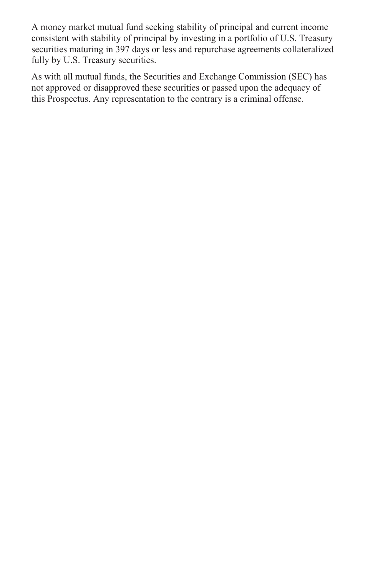**A money market mutual fund seeking stability of principal and current income consistent with stability of principal by investing in a portfolio of U.S. Treasury securities maturing in 397 days or less and repurchase agreements collateralized fully by U.S. Treasury securities.**

**As with all mutual funds, the Securities and Exchange Commission (SEC) has not approved or disapproved these securities or passed upon the adequacy of this Prospectus. Any representation to the contrary is a criminal offense.**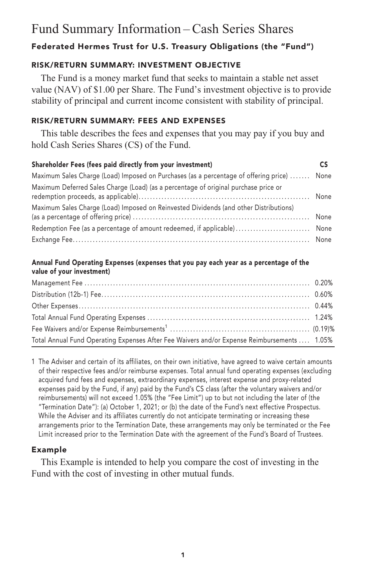# **Fund Summary Information – Cash Series Shares**

# **Federated Hermes Trust for U.S. Treasury Obligations (the "Fund")**

# **RISK/RETURN SUMMARY: INVESTMENT OBJECTIVE**

**The Fund is a money market fund that seeks to maintain a stable net asset value (NAV) of \$1.00 per Share. The Fund's investment objective is to provide stability of principal and current income consistent with stability of principal.**

## **RISK/RETURN SUMMARY: FEES AND EXPENSES**

**This table describes the fees and expenses that you may pay if you buy and hold Cash Series Shares (CS) of the Fund.**

| Shareholder Fees (fees paid directly from your investment)                            |      |
|---------------------------------------------------------------------------------------|------|
| Maximum Sales Charge (Load) Imposed on Purchases (as a percentage of offering price)  | None |
| Maximum Deferred Sales Charge (Load) (as a percentage of original purchase price or   |      |
| Maximum Sales Charge (Load) Imposed on Reinvested Dividends (and other Distributions) |      |
|                                                                                       |      |
|                                                                                       |      |

### **Annual Fund Operating Expenses (expenses that you pay each year as a percentage of the value of your investment)**

| Total Annual Fund Operating Expenses After Fee Waivers and/or Expense Reimbursements  1.05% |  |
|---------------------------------------------------------------------------------------------|--|

**1 The Adviser and certain of its affiliates, on their own initiative, have agreed to waive certain amounts of their respective fees and/or reimburse expenses. Total annual fund operating expenses (excluding acquired fund fees and expenses, extraordinary expenses, interest expense and proxy-related expenses paid by the Fund, if any) paid by the Fund's CS class (after the voluntary waivers and/or reimbursements) will not exceed 1.05% (the "Fee Limit") up to but not including the later of (the "Termination Date"): (a) October 1, 2021; or (b) the date of the Fund's next effective Prospectus. While the Adviser and its affiliates currently do not anticipate terminating or increasing these arrangements prior to the Termination Date, these arrangements may only be terminated or the Fee Limit increased prior to the Termination Date with the agreement of the Fund's Board of Trustees.**

# **Example**

**This Example is intended to help you compare the cost of investing in the Fund with the cost of investing in other mutual funds.**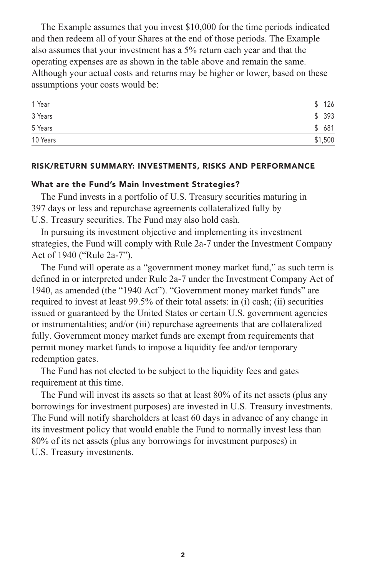**The Example assumes that you invest \$10,000 for the time periods indicated and then redeem all of your Shares at the end of those periods. The Example also assumes that your investment has a 5% return each year and that the operating expenses are as shown in the table above and remain the same. Although your actual costs and returns may be higher or lower, based on these assumptions your costs would be:**

| 1 Year   | 126<br>¢  |
|----------|-----------|
| 3 Years  | 393<br>¢  |
| 5 Years  | 681<br>\$ |
| 10 Years | \$1,500   |

#### **RISK/RETURN SUMMARY: INVESTMENTS, RISKS AND PERFORMANCE**

#### **What are the Fund's Main Investment Strategies?**

**The Fund invests in a portfolio of U.S. Treasury securities maturing in 397 days or less and repurchase agreements collateralized fully by U.S. Treasury securities. The Fund may also hold cash.**

**In pursuing its investment objective and implementing its investment strategies, the Fund will comply with Rule 2a-7 under the Investment Company Act of 1940 ("Rule 2a-7").**

**The Fund will operate as a "government money market fund," as such term is defined in or interpreted under Rule 2a-7 under the Investment Company Act of 1940, as amended (the "1940 Act"). "Government money market funds" are required to invest at least 99.5% of their total assets: in (i) cash; (ii) securities issued or guaranteed by the United States or certain U.S. government agencies or instrumentalities; and/or (iii) repurchase agreements that are collateralized fully. Government money market funds are exempt from requirements that permit money market funds to impose a liquidity fee and/or temporary redemption gates.**

**The Fund has not elected to be subject to the liquidity fees and gates requirement at this time.**

**The Fund will invest its assets so that at least 80% of its net assets (plus any borrowings for investment purposes) are invested in U.S. Treasury investments. The Fund will notify shareholders at least 60 days in advance of any change in its investment policy that would enable the Fund to normally invest less than 80% of its net assets (plus any borrowings for investment purposes) in U.S. Treasury investments.**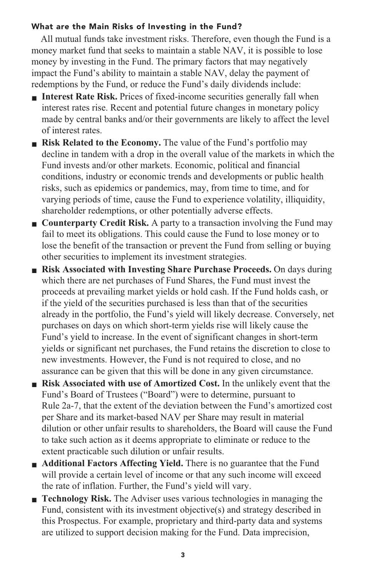## **What are the Main Risks of Investing in the Fund?**

**All mutual funds take investment risks. Therefore, even though the Fund is a money market fund that seeks to maintain a stable NAV, it is possible to lose money by investing in the Fund. The primary factors that may negatively impact the Fund's ability to maintain a stable NAV, delay the payment of redemptions by the Fund, or reduce the Fund's daily dividends include:**

- **■ Interest Rate Risk. Prices of fixed-income securities generally fall when interest rates rise. Recent and potential future changes in monetary policy made by central banks and/or their governments are likely to affect the level of interest rates.**
- **■ Risk Related to the Economy. The value of the Fund's portfolio may decline in tandem with a drop in the overall value of the markets in which the Fund invests and/or other markets. Economic, political and financial conditions, industry or economic trends and developments or public health risks, such as epidemics or pandemics, may, from time to time, and for varying periods of time, cause the Fund to experience volatility, illiquidity, shareholder redemptions, or other potentially adverse effects.**
- **Counterparty Credit Risk.** A party to a transaction involving the Fund may **fail to meet its obligations. This could cause the Fund to lose money or to lose the benefit of the transaction or prevent the Fund from selling or buying other securities to implement its investment strategies.**
- **■ Risk Associated with Investing Share Purchase Proceeds. On days during which there are net purchases of Fund Shares, the Fund must invest the proceeds at prevailing market yields or hold cash. If the Fund holds cash, or if the yield of the securities purchased is less than that of the securities already in the portfolio, the Fund's yield will likely decrease. Conversely, net purchases on days on which short-term yields rise will likely cause the Fund's yield to increase. In the event of significant changes in short-term yields or significant net purchases, the Fund retains the discretion to close to new investments. However, the Fund is not required to close, and no assurance can be given that this will be done in any given circumstance.**
- **■ Risk Associated with use of Amortized Cost. In the unlikely event that the Fund's Board of Trustees ("Board") were to determine, pursuant to Rule 2a-7, that the extent of the deviation between the Fund's amortized cost per Share and its market-based NAV per Share may result in material dilution or other unfair results to shareholders, the Board will cause the Fund to take such action as it deems appropriate to eliminate or reduce to the extent practicable such dilution or unfair results.**
- **Additional Factors Affecting Yield.** There is no guarantee that the Fund **will provide a certain level of income or that any such income will exceed the rate of inflation. Further, the Fund's yield will vary.**
- **Technology Risk.** The Adviser uses various technologies in managing the **Fund, consistent with its investment objective(s) and strategy described in this Prospectus. For example, proprietary and third-party data and systems are utilized to support decision making for the Fund. Data imprecision,**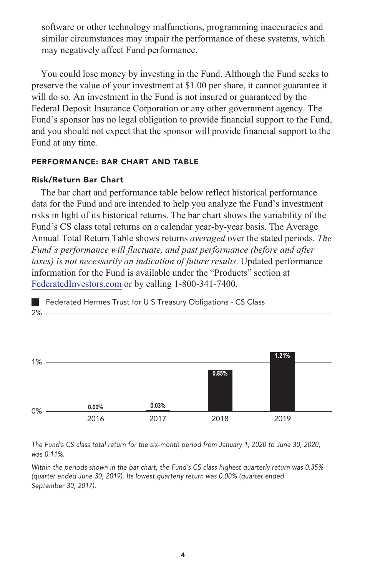**software or other technology malfunctions, programming inaccuracies and similar circumstances may impair the performance of these systems, which may negatively affect Fund performance.**

**You could lose money by investing in the Fund. Although the Fund seeks to preserve the value of your investment at \$1.00 per share, it cannot guarantee it will do so. An investment in the Fund is not insured or guaranteed by the Federal Deposit Insurance Corporation or any other government agency. The Fund's sponsor has no legal obligation to provide financial support to the Fund, and you should not expect that the sponsor will provide financial support to the Fund at any time.**

#### **PERFORMANCE: BAR CHART AND TABLE**

#### **Risk/Return Bar Chart**

**The bar chart and performance table below reflect historical performance data for the Fund and are intended to help you analyze the Fund's investment risks in light of its historical returns. The bar chart shows the variability of the Fund's CS class total returns on a calendar year-by-year basis. The Average Annual Total Return Table shows returns** *averaged* **over the stated periods.** *The Fund's performance will fluctuate, and past performance (before and after taxes) is not necessarily an indication of future results.* **Updated performance information for the Fund is available under the "Products" section at [FederatedInvestors.com](https://www.federatedinvestors.com/home.do) or by calling 1-800-341-7400.**

**2% Federated Hermes Trust for U S Treasury Obligations - CS Class**



**The Fund's CS class total return for the six-month period from January 1, 2020 to June 30, 2020, was 0.11%.**

**Within the periods shown in the bar chart, the Fund's CS class highest quarterly return was 0.35% (quarter ended June 30, 2019). Its lowest quarterly return was 0.00% (quarter ended September 30, 2017).**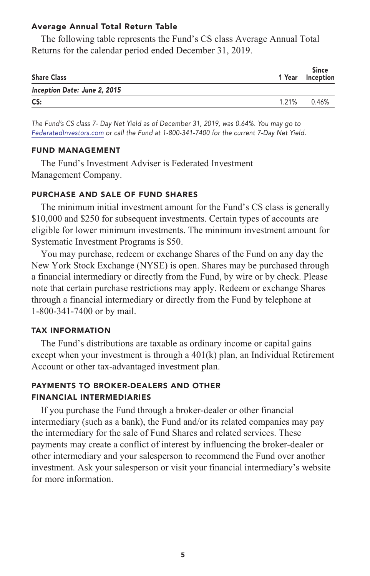#### **Average Annual Total Return Table**

**The following table represents the Fund's CS class Average Annual Total Returns for the calendar period ended December 31, 2019.**

| <b>Share Class</b>           | 1 Year | <b>Since</b><br>Inception |
|------------------------------|--------|---------------------------|
| Inception Date: June 2, 2015 |        |                           |
| CS:                          | 1.21%  | 0.46%                     |

**The Fund's CS class 7- Day Net Yield as of December 31, 2019, was 0.64%. You may go to [FederatedInvestors.com](https://www.federatedinvestors.com/home.do) or call the Fund at 1-800-341-7400 for the current 7-Day Net Yield.**

#### **FUND MANAGEMENT**

**The Fund's Investment Adviser is Federated Investment Management Company.**

#### **PURCHASE AND SALE OF FUND SHARES**

**The minimum initial investment amount for the Fund's CS class is generally \$10,000 and \$250 for subsequent investments. Certain types of accounts are eligible for lower minimum investments. The minimum investment amount for Systematic Investment Programs is \$50.**

**You may purchase, redeem or exchange Shares of the Fund on any day the New York Stock Exchange (NYSE) is open. Shares may be purchased through a financial intermediary or directly from the Fund, by wire or by check. Please note that certain purchase restrictions may apply. Redeem or exchange Shares through a financial intermediary or directly from the Fund by telephone at 1-800-341-7400 or by mail.**

#### **TAX INFORMATION**

**The Fund's distributions are taxable as ordinary income or capital gains except when your investment is through a 401(k) plan, an Individual Retirement Account or other tax-advantaged investment plan.**

# **PAYMENTS TO BROKER-DEALERS AND OTHER FINANCIAL INTERMEDIARIES**

**If you purchase the Fund through a broker-dealer or other financial intermediary (such as a bank), the Fund and/or its related companies may pay the intermediary for the sale of Fund Shares and related services. These payments may create a conflict of interest by influencing the broker-dealer or other intermediary and your salesperson to recommend the Fund over another investment. Ask your salesperson or visit your financial intermediary's website for more information.**